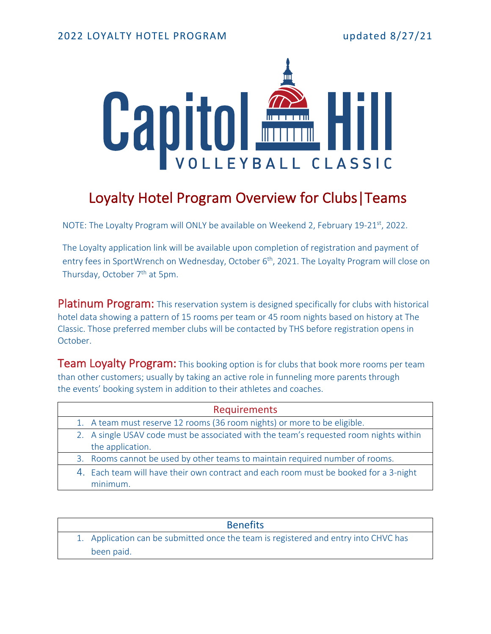

# Loyalty Hotel Program Overview for Clubs|Teams

NOTE: The Loyalty Program will ONLY be available on Weekend 2, February 19-21st, 2022.

The Loyalty application link will be available upon completion of registration and payment of entry fees in SportWrench on Wednesday, October 6<sup>th</sup>, 2021. The Loyalty Program will close on Thursday, October 7<sup>th</sup> at 5pm.

Platinum Program: This reservation system is designed specifically for clubs with historical hotel data showing a pattern of 15 rooms per team or 45 room nights based on history at The Classic. Those preferred member clubs will be contacted by THS before registration opens in October.

**Team Loyalty Program:** This booking option is for clubs that book more rooms per team than other customers; usually by taking an active role in funneling more parents through the events' booking system in addition to their athletes and coaches.

| Requirements                                                                          |
|---------------------------------------------------------------------------------------|
| 1. A team must reserve 12 rooms (36 room nights) or more to be eligible.              |
| 2. A single USAV code must be associated with the team's requested room nights within |
| the application.                                                                      |
| 3. Rooms cannot be used by other teams to maintain required number of rooms.          |
| 4. Each team will have their own contract and each room must be booked for a 3-night  |
| minimum.                                                                              |

| <b>Benefits</b>                                                                     |
|-------------------------------------------------------------------------------------|
| 1. Application can be submitted once the team is registered and entry into CHVC has |
| been paid.                                                                          |
|                                                                                     |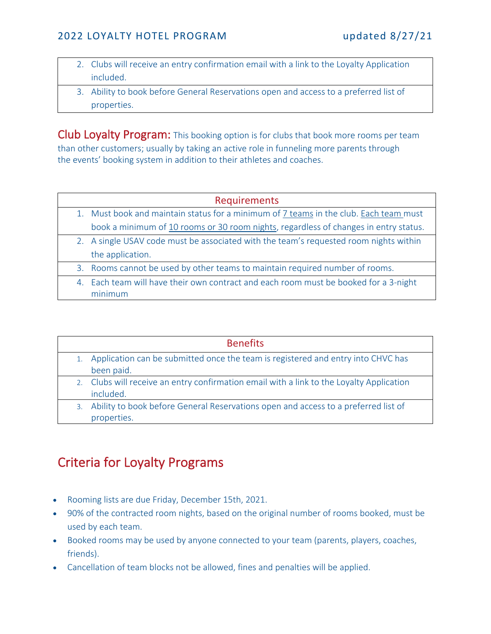#### 2022 LOYALTY HOTEL PROGRAM updated 8/27/21

- 2. Clubs will receive an entry confirmation email with a link to the Loyalty Application included.
- 3. Ability to book before General Reservations open and access to a preferred list of properties.

Club Loyalty Program: This booking option is for clubs that book more rooms per team than other customers; usually by taking an active role in funneling more parents through the events' booking system in addition to their athletes and coaches.

| <b>Requirements</b>                                                                   |
|---------------------------------------------------------------------------------------|
| 1. Must book and maintain status for a minimum of 7 teams in the club. Each team must |
| book a minimum of 10 rooms or 30 room nights, regardless of changes in entry status.  |
| 2. A single USAV code must be associated with the team's requested room nights within |
| the application.                                                                      |
| 3. Rooms cannot be used by other teams to maintain required number of rooms.          |
| 4. Each team will have their own contract and each room must be booked for a 3-night  |
| minimum                                                                               |
|                                                                                       |

|    | <b>Benefits</b>                                                                          |
|----|------------------------------------------------------------------------------------------|
|    | Application can be submitted once the team is registered and entry into CHVC has         |
|    | been paid.                                                                               |
|    | 2. Clubs will receive an entry confirmation email with a link to the Loyalty Application |
|    | included.                                                                                |
| 3. | Ability to book before General Reservations open and access to a preferred list of       |
|    | properties.                                                                              |
|    |                                                                                          |

### Criteria for Loyalty Programs

- Rooming lists are due Friday, December 15th, 2021.
- 90% of the contracted room nights, based on the original number of rooms booked, must be used by each team.
- Booked rooms may be used by anyone connected to your team (parents, players, coaches, friends).
- Cancellation of team blocks not be allowed, fines and penalties will be applied.